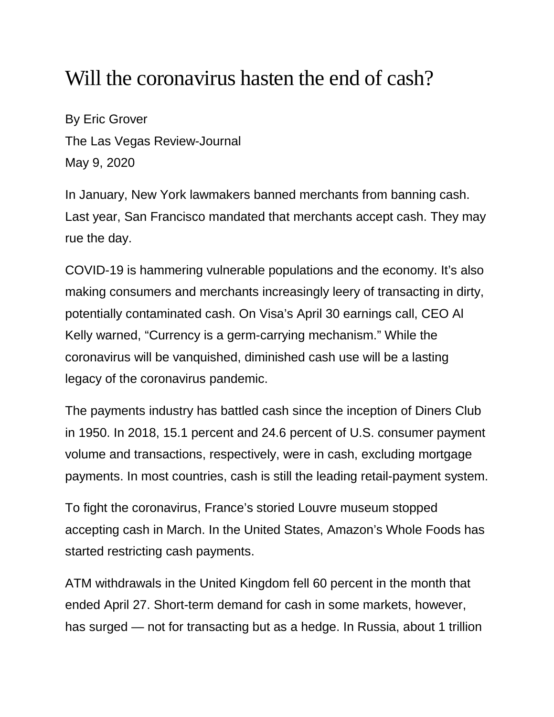## Will the coronavirus hasten the end of cash?

By Eric Grover The Las Vegas Review-Journal May 9, 2020

In January, New York lawmakers banned merchants from banning cash. Last year, San Francisco mandated that merchants accept cash. They may rue the day.

COVID-19 is hammering vulnerable populations and the economy. It's also making consumers and merchants increasingly leery of transacting in dirty, potentially contaminated cash. On Visa's April 30 earnings call, CEO Al Kelly warned, "Currency is a germ-carrying mechanism." While the coronavirus will be vanquished, diminished cash use will be a lasting legacy of the coronavirus pandemic.

The payments industry has battled cash since the inception of Diners Club in 1950. In 2018, 15.1 percent and 24.6 percent of U.S. consumer payment volume and transactions, respectively, were in cash, excluding mortgage payments. In most countries, cash is still the leading retail-payment system.

To fight the coronavirus, France's storied Louvre museum stopped accepting cash in March. In the United States, Amazon's Whole Foods has started restricting cash payments.

ATM withdrawals in the United Kingdom fell 60 percent in the month that ended April 27. Short-term demand for cash in some markets, however, has surged — not for transacting but as a hedge. In Russia, about 1 trillion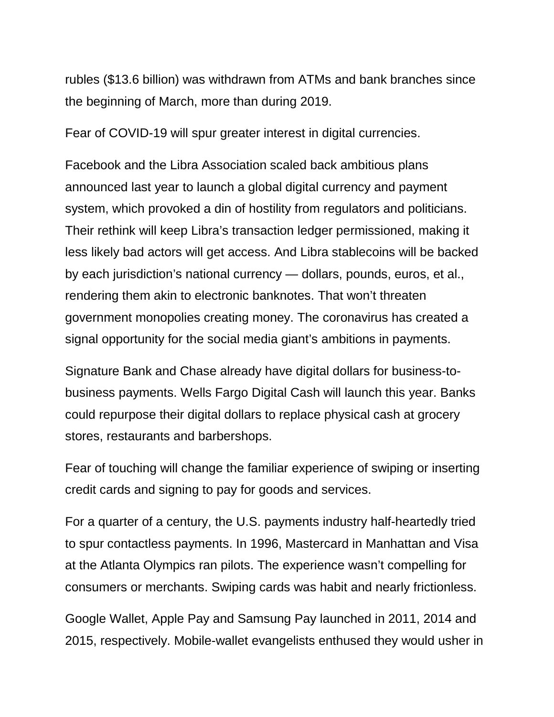rubles (\$13.6 billion) was withdrawn from ATMs and bank branches since the beginning of March, more than during 2019.

Fear of COVID-19 will spur greater interest in digital currencies.

Facebook and the Libra Association scaled back ambitious plans announced last year to launch a global digital currency and payment system, which provoked a din of hostility from regulators and politicians. Their rethink will keep Libra's transaction ledger permissioned, making it less likely bad actors will get access. And Libra stablecoins will be backed by each jurisdiction's national currency — dollars, pounds, euros, et al., rendering them akin to electronic banknotes. That won't threaten government monopolies creating money. The coronavirus has created a signal opportunity for the social media giant's ambitions in payments.

Signature Bank and Chase already have digital dollars for business-tobusiness payments. Wells Fargo Digital Cash will launch this year. Banks could repurpose their digital dollars to replace physical cash at grocery stores, restaurants and barbershops.

Fear of touching will change the familiar experience of swiping or inserting credit cards and signing to pay for goods and services.

For a quarter of a century, the U.S. payments industry half-heartedly tried to spur contactless payments. In 1996, Mastercard in Manhattan and Visa at the Atlanta Olympics ran pilots. The experience wasn't compelling for consumers or merchants. Swiping cards was habit and nearly frictionless.

Google Wallet, Apple Pay and Samsung Pay launched in 2011, 2014 and 2015, respectively. Mobile-wallet evangelists enthused they would usher in